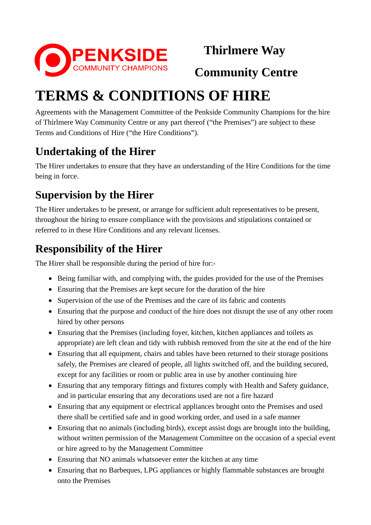

 **Thirlmere Way** 

 **Community Centre**

# **TERMS & CONDITIONS OF HIRE**

Agreements with the Management Committee of the Penkside Community Champions for the hire of Thirlmere Way Community Centre or any part thereof ("the Premises") are subject to these Terms and Conditions of Hire ("the Hire Conditions").

# **Undertaking of the Hirer**

The Hirer undertakes to ensure that they have an understanding of the Hire Conditions for the time being in force.

# **Supervision by the Hirer**

The Hirer undertakes to be present, or arrange for sufficient adult representatives to be present, throughout the hiring to ensure compliance with the provisions and stipulations contained or referred to in these Hire Conditions and any relevant licenses.

### **Responsibility of the Hirer**

The Hirer shall be responsible during the period of hire for:-

- Being familiar with, and complying with, the guides provided for the use of the Premises
- Ensuring that the Premises are kept secure for the duration of the hire
- Supervision of the use of the Premises and the care of its fabric and contents
- Ensuring that the purpose and conduct of the hire does not disrupt the use of any other room hired by other persons
- Ensuring that the Premises (including foyer, kitchen, kitchen appliances and toilets as appropriate) are left clean and tidy with rubbish removed from the site at the end of the hire
- Ensuring that all equipment, chairs and tables have been returned to their storage positions safely, the Premises are cleared of people, all lights switched off, and the building secured, except for any facilities or room or public area in use by another continuing hire
- Ensuring that any temporary fittings and fixtures comply with Health and Safety guidance, and in particular ensuring that any decorations used are not a fire hazard
- Ensuring that any equipment or electrical appliances brought onto the Premises and used there shall be certified safe and in good working order, and used in a safe manner
- Ensuring that no animals (including birds), except assist dogs are brought into the building, without written permission of the Management Committee on the occasion of a special event or hire agreed to by the Management Committee
- Ensuring that NO animals whatsoever enter the kitchen at any time
- Ensuring that no Barbeques, LPG appliances or highly flammable substances are brought onto the Premises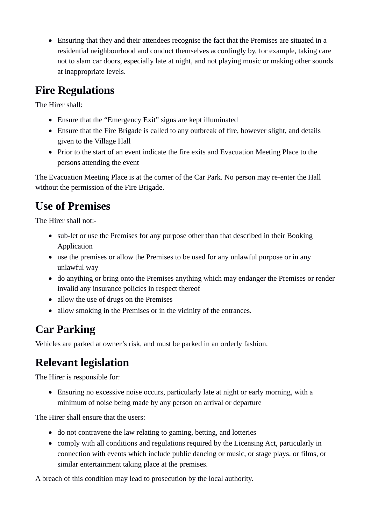Ensuring that they and their attendees recognise the fact that the Premises are situated in a residential neighbourhood and conduct themselves accordingly by, for example, taking care not to slam car doors, especially late at night, and not playing music or making other sounds at inappropriate levels.

### **Fire Regulations**

The Hirer shall:

- Ensure that the "Emergency Exit" signs are kept illuminated
- Ensure that the Fire Brigade is called to any outbreak of fire, however slight, and details given to the Village Hall
- Prior to the start of an event indicate the fire exits and Evacuation Meeting Place to the persons attending the event

The Evacuation Meeting Place is at the corner of the Car Park. No person may re-enter the Hall without the permission of the Fire Brigade.

# **Use of Premises**

The Hirer shall not:-

- sub-let or use the Premises for any purpose other than that described in their Booking Application
- use the premises or allow the Premises to be used for any unlawful purpose or in any unlawful way
- do anything or bring onto the Premises anything which may endanger the Premises or render invalid any insurance policies in respect thereof
- allow the use of drugs on the Premises
- allow smoking in the Premises or in the vicinity of the entrances.

### **Car Parking**

Vehicles are parked at owner's risk, and must be parked in an orderly fashion.

### **Relevant legislation**

The Hirer is responsible for:

 Ensuring no excessive noise occurs, particularly late at night or early morning, with a minimum of noise being made by any person on arrival or departure

The Hirer shall ensure that the users:

- do not contravene the law relating to gaming, betting, and lotteries
- comply with all conditions and regulations required by the Licensing Act, particularly in connection with events which include public dancing or music, or stage plays, or films, or similar entertainment taking place at the premises.

A breach of this condition may lead to prosecution by the local authority.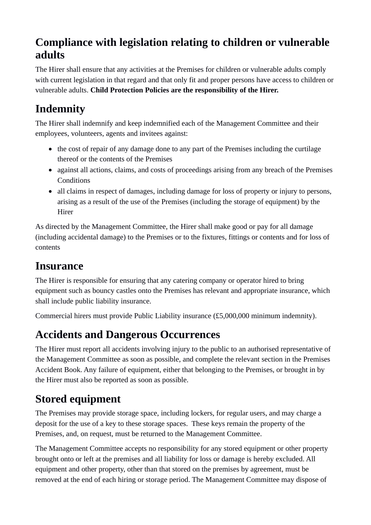### **Compliance with legislation relating to children or vulnerable adults**

The Hirer shall ensure that any activities at the Premises for children or vulnerable adults comply with current legislation in that regard and that only fit and proper persons have access to children or vulnerable adults. **Child Protection Policies are the responsibility of the Hirer.**

# **Indemnity**

The Hirer shall indemnify and keep indemnified each of the Management Committee and their employees, volunteers, agents and invitees against:

- the cost of repair of any damage done to any part of the Premises including the curtilage thereof or the contents of the Premises
- against all actions, claims, and costs of proceedings arising from any breach of the Premises **Conditions**
- all claims in respect of damages, including damage for loss of property or injury to persons, arising as a result of the use of the Premises (including the storage of equipment) by the Hirer

As directed by the Management Committee, the Hirer shall make good or pay for all damage (including accidental damage) to the Premises or to the fixtures, fittings or contents and for loss of contents

### **Insurance**

The Hirer is responsible for ensuring that any catering company or operator hired to bring equipment such as bouncy castles onto the Premises has relevant and appropriate insurance, which shall include public liability insurance.

Commercial hirers must provide Public Liability insurance (£5,000,000 minimum indemnity).

### **Accidents and Dangerous Occurrences**

The Hirer must report all accidents involving injury to the public to an authorised representative of the Management Committee as soon as possible, and complete the relevant section in the Premises Accident Book. Any failure of equipment, either that belonging to the Premises, or brought in by the Hirer must also be reported as soon as possible.

# **Stored equipment**

The Premises may provide storage space, including lockers, for regular users, and may charge a deposit for the use of a key to these storage spaces. These keys remain the property of the Premises, and, on request, must be returned to the Management Committee.

The Management Committee accepts no responsibility for any stored equipment or other property brought onto or left at the premises and all liability for loss or damage is hereby excluded. All equipment and other property, other than that stored on the premises by agreement, must be removed at the end of each hiring or storage period. The Management Committee may dispose of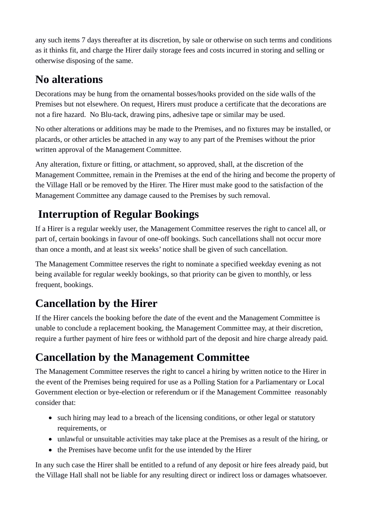any such items 7 days thereafter at its discretion, by sale or otherwise on such terms and conditions as it thinks fit, and charge the Hirer daily storage fees and costs incurred in storing and selling or otherwise disposing of the same.

### **No alterations**

Decorations may be hung from the ornamental bosses/hooks provided on the side walls of the Premises but not elsewhere. On request, Hirers must produce a certificate that the decorations are not a fire hazard. No Blu-tack, drawing pins, adhesive tape or similar may be used.

No other alterations or additions may be made to the Premises, and no fixtures may be installed, or placards, or other articles be attached in any way to any part of the Premises without the prior written approval of the Management Committee.

Any alteration, fixture or fitting, or attachment, so approved, shall, at the discretion of the Management Committee, remain in the Premises at the end of the hiring and become the property of the Village Hall or be removed by the Hirer. The Hirer must make good to the satisfaction of the Management Committee any damage caused to the Premises by such removal.

# **Interruption of Regular Bookings**

If a Hirer is a regular weekly user, the Management Committee reserves the right to cancel all, or part of, certain bookings in favour of one-off bookings. Such cancellations shall not occur more than once a month, and at least six weeks' notice shall be given of such cancellation.

The Management Committee reserves the right to nominate a specified weekday evening as not being available for regular weekly bookings, so that priority can be given to monthly, or less frequent, bookings.

# **Cancellation by the Hirer**

If the Hirer cancels the booking before the date of the event and the Management Committee is unable to conclude a replacement booking, the Management Committee may, at their discretion, require a further payment of hire fees or withhold part of the deposit and hire charge already paid.

# **Cancellation by the Management Committee**

The Management Committee reserves the right to cancel a hiring by written notice to the Hirer in the event of the Premises being required for use as a Polling Station for a Parliamentary or Local Government election or bye-election or referendum or if the Management Committee reasonably consider that:

- such hiring may lead to a breach of the licensing conditions, or other legal or statutory requirements, or
- unlawful or unsuitable activities may take place at the Premises as a result of the hiring, or
- the Premises have become unfit for the use intended by the Hirer

In any such case the Hirer shall be entitled to a refund of any deposit or hire fees already paid, but the Village Hall shall not be liable for any resulting direct or indirect loss or damages whatsoever.